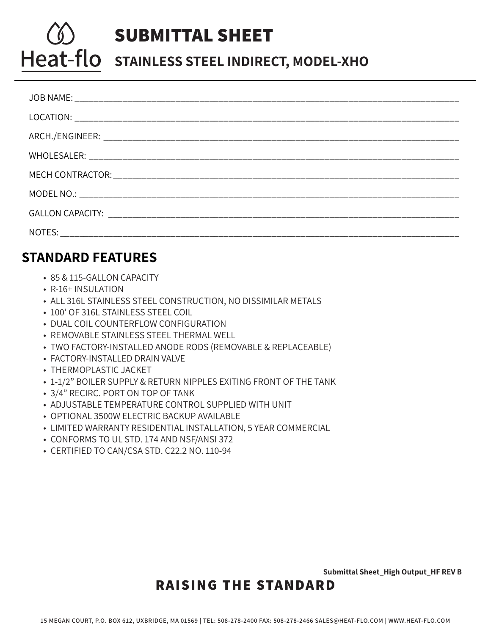# **SUBMITTAL SHEET** Heat-flo stainless steel Indirect, Model-XHO

### **STANDARD FEATURES**

- 85 & 115-GALLON CAPACITY
- R-16+ INSULATION
- ALL 316L STAINLESS STEEL CONSTRUCTION, NO DISSIMILAR METALS
- 100' OF 316L STAINLESS STEEL COIL
- DUAL COIL COUNTERFLOW CONFIGURATION
- REMOVABLE STAINLESS STEEL THERMAL WELL
- TWO FACTORY-INSTALLED ANODE RODS (REMOVABLE & REPLACEABLE)
- FACTORY-INSTALLED DRAIN VALVE
- THERMOPLASTIC JACKET
- 1-1/2" BOILER SUPPLY & RETURN NIPPLES EXITING FRONT OF THE TANK
- 3/4" RECIRC. PORT ON TOP OF TANK
- ADJUSTABLE TEMPERATURE CONTROL SUPPLIED WITH UNIT
- OPTIONAL 3500W ELECTRIC BACKUP AVAILABLE
- LIMITED WARRANTY RESIDENTIAL INSTALLATION, 5 YEAR COMMERCIAL
- CONFORMS TO UL STD. 174 AND NSF/ANSI 372
- CERTIFIED TO CAN/CSA STD. C22.2 NO. 110-94

**SUBMITTAL SHEET\_HIGH OUTPUT\_HF REV A |**Pg 1 of 2 **Submittal Sheet\_High Output\_HF REV B**

## **RAISING THE STANDARD**